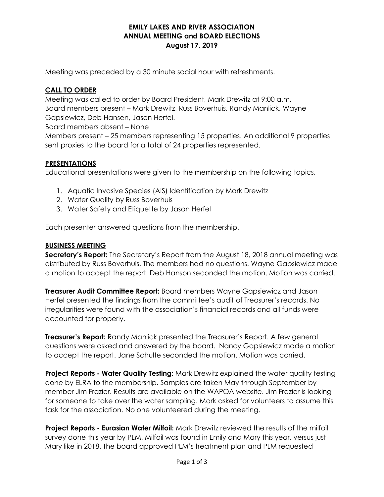### EMILY LAKES AND RIVER ASSOCIATION ANNUAL MEETING and BOARD ELECTIONS August 17, 2019

Meeting was preceded by a 30 minute social hour with refreshments.

## CALL TO ORDER

Meeting was called to order by Board President, Mark Drewitz at 9:00 a.m. Board members present – Mark Drewitz, Russ Boverhuis, Randy Manlick, Wayne Gapsiewicz, Deb Hansen, Jason Herfel.

Board members absent – None

Members present – 25 members representing 15 properties. An additional 9 properties sent proxies to the board for a total of 24 properties represented.

# **PRESENTATIONS**

Educational presentations were given to the membership on the following topics.

- 1. Aquatic Invasive Species (AIS) Identification by Mark Drewitz
- 2. Water Quality by Russ Boverhuis
- 3. Water Safety and Etiquette by Jason Herfel

Each presenter answered questions from the membership.

## BUSINESS MEETING

Secretary's Report: The Secretary's Report from the August 18, 2018 annual meeting was distributed by Russ Boverhuis. The members had no questions. Wayne Gapsiewicz made a motion to accept the report. Deb Hanson seconded the motion. Motion was carried.

**Treasurer Audit Committee Report:** Board members Wayne Gapsiewicz and Jason Herfel presented the findings from the committee's audit of Treasurer's records. No irregularities were found with the association's financial records and all funds were accounted for properly.

**Treasurer's Report:** Randy Manlick presented the Treasurer's Report. A few general questions were asked and answered by the board. Nancy Gapsiewicz made a motion to accept the report. Jane Schulte seconded the motion. Motion was carried.

**Project Reports - Water Quality Testing:** Mark Drewitz explained the water quality testing done by ELRA to the membership. Samples are taken May through September by member Jim Frazier. Results are available on the WAPOA website. Jim Frazier is looking for someone to take over the water sampling. Mark asked for volunteers to assume this task for the association. No one volunteered during the meeting.

Project Reports - Eurasian Water Milfoil: Mark Drewitz reviewed the results of the milfoil survey done this year by PLM. Milfoil was found in Emily and Mary this year, versus just Mary like in 2018. The board approved PLM's treatment plan and PLM requested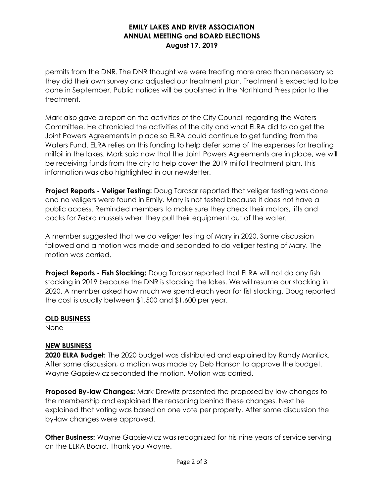### EMILY LAKES AND RIVER ASSOCIATION ANNUAL MEETING and BOARD ELECTIONS August 17, 2019

permits from the DNR. The DNR thought we were treating more area than necessary so they did their own survey and adjusted our treatment plan. Treatment is expected to be done in September. Public notices will be published in the Northland Press prior to the treatment.

Mark also gave a report on the activities of the City Council regarding the Waters Committee. He chronicled the activities of the city and what ELRA did to do get the Joint Powers Agreements in place so ELRA could continue to get funding from the Waters Fund. ELRA relies on this funding to help defer some of the expenses for treating milfoil in the lakes. Mark said now that the Joint Powers Agreements are in place, we will be receiving funds from the city to help cover the 2019 milfoil treatment plan. This information was also highlighted in our newsletter.

**Project Reports - Veliger Testing:** Doug Tarasar reported that veliger testing was done and no veligers were found in Emily. Mary is not tested because it does not have a public access. Reminded members to make sure they check their motors, lifts and docks for Zebra mussels when they pull their equipment out of the water.

A member suggested that we do veliger testing of Mary in 2020. Some discussion followed and a motion was made and seconded to do veliger testing of Mary. The motion was carried.

**Project Reports - Fish Stocking:** Doug Tarasar reported that ELRA will not do any fish stocking in 2019 because the DNR is stocking the lakes. We will resume our stocking in 2020. A member asked how much we spend each year for fist stocking. Doug reported the cost is usually between \$1,500 and \$1,600 per year.

### OLD BUSINESS

None

# NEW BUSINESS

2020 ELRA Budget: The 2020 budget was distributed and explained by Randy Manlick. After some discussion, a motion was made by Deb Hanson to approve the budget. Wayne Gapsiewicz seconded the motion. Motion was carried.

Proposed By-law Changes: Mark Drewitz presented the proposed by-law changes to the membership and explained the reasoning behind these changes. Next he explained that voting was based on one vote per property. After some discussion the by-law changes were approved.

**Other Business:** Wayne Gapsiewicz was recognized for his nine years of service serving on the ELRA Board. Thank you Wayne.